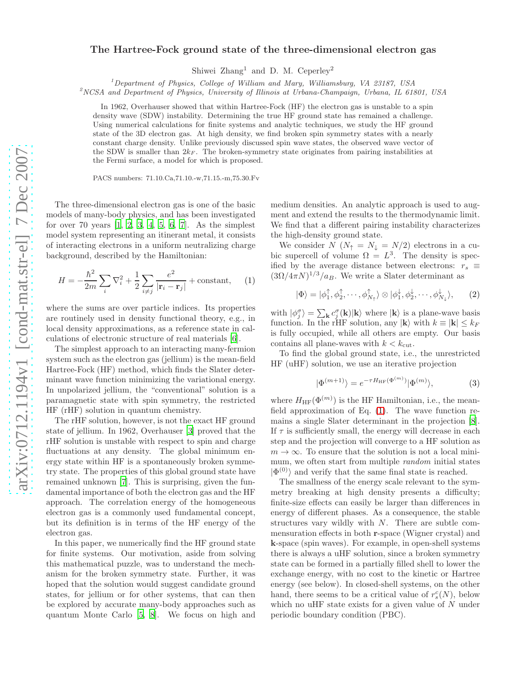## The Hartree-Fock ground state of the three-dimensional electron gas

Shiwei Zhang<sup>1</sup> and D. M. Ceperley<sup>2</sup>

<sup>1</sup>Department of Physics, College of William and Mary, Williamsburg, VA 23187, USA

 $\alpha^2$ NCSA and Department of Physics, University of Illinois at Urbana-Champaign, Urbana, IL 61801, USA

In 1962, Overhauser showed that within Hartree-Fock (HF) the electron gas is unstable to a spin density wave (SDW) instability. Determining the true HF ground state has remained a challenge. Using numerical calculations for finite systems and analytic techniques, we study the HF ground state of the 3D electron gas. At high density, we find broken spin symmetry states with a nearly constant charge density. Unlike previously discussed spin wave states, the observed wave vector of the SDW is smaller than  $2k_F$ . The broken-symmetry state originates from pairing instabilities at the Fermi surface, a model for which is proposed.

PACS numbers: 71.10.Ca,71.10.-w,71.15.-m,75.30.Fv

The three-dimensional electron gas is one of the basic models of many-body physics, and has been investigated for over [7](#page-3-6)0 years  $[1, 2, 3, 4, 5, 6, 7]$  $[1, 2, 3, 4, 5, 6, 7]$  $[1, 2, 3, 4, 5, 6, 7]$  $[1, 2, 3, 4, 5, 6, 7]$  $[1, 2, 3, 4, 5, 6, 7]$  $[1, 2, 3, 4, 5, 6, 7]$  $[1, 2, 3, 4, 5, 6, 7]$  $[1, 2, 3, 4, 5, 6, 7]$  $[1, 2, 3, 4, 5, 6, 7]$ . As the simplest model system representing an itinerant metal, it consists of interacting electrons in a uniform neutralizing charge background, described by the Hamiltonian:

<span id="page-0-0"></span>
$$
H = -\frac{\hbar^2}{2m} \sum_{i} \nabla_i^2 + \frac{1}{2} \sum_{i \neq j} \frac{e^2}{|\mathbf{r}_i - \mathbf{r}_j|} + \text{constant}, \quad (1)
$$

where the sums are over particle indices. Its properties are routinely used in density functional theory, e.g., in local density approximations, as a reference state in calculations of electronic structure of real materials [\[6\]](#page-3-5).

The simplest approach to an interacting many-fermion system such as the electron gas (jellium) is the mean-field Hartree-Fock (HF) method, which finds the Slater determinant wave function minimizing the variational energy. In unpolarized jellium, the "conventional" solution is a paramagnetic state with spin symmetry, the restricted HF (rHF) solution in quantum chemistry.

The rHF solution, however, is not the exact HF ground state of jellium. In 1962, Overhauser [\[3](#page-3-2)] proved that the rHF solution is unstable with respect to spin and charge fluctuations at any density. The global minimum energy state within HF is a spontaneously broken symmetry state. The properties of this global ground state have remained unknown [\[7](#page-3-6)]. This is surprising, given the fundamental importance of both the electron gas and the HF approach. The correlation energy of the homogeneous electron gas is a commonly used fundamental concept, but its definition is in terms of the HF energy of the electron gas.

In this paper, we numerically find the HF ground state for finite systems. Our motivation, aside from solving this mathematical puzzle, was to understand the mechanism for the broken symmetry state. Further, it was hoped that the solution would suggest candidate ground states, for jellium or for other systems, that can then be explored by accurate many-body approaches such as quantum Monte Carlo [\[5,](#page-3-4) [8](#page-3-7)]. We focus on high and

medium densities. An analytic approach is used to augment and extend the results to the thermodynamic limit. We find that a different pairing instability characterizes the high-density ground state.

We consider  $N(N_\uparrow = N_\downarrow = N/2)$  electrons in a cubic supercell of volume  $\Omega = L^3$ . The density is specified by the average distance between electrons:  $r_s \equiv$  $(3\Omega/4\pi N)^{1/3}/a_B$ . We write a Slater determinant as

$$
|\Phi\rangle = |\phi_1^{\uparrow}, \phi_2^{\uparrow}, \cdots, \phi_{N_{\uparrow}}^{\uparrow}\rangle \otimes |\phi_1^{\downarrow}, \phi_2^{\downarrow}, \cdots, \phi_{N_{\downarrow}}^{\downarrow}\rangle, \qquad (2)
$$

with  $|\phi_j^{\sigma}\rangle = \sum_{\mathbf{k}} c_j^{\sigma}(\mathbf{k})|\mathbf{k}\rangle$  where  $|\mathbf{k}\rangle$  is a plane-wave basis function. In the rHF solution, any  $|\mathbf{k}\rangle$  with  $k \equiv |\mathbf{k}| \leq k_F$ is fully occupied, while all others are empty. Our basis contains all plane-waves with  $k < k_{\text{cut}}$ .

To find the global ground state, i.e., the unrestricted HF (uHF) solution, we use an iterative projection

<span id="page-0-1"></span>
$$
|\Phi^{(m+1)}\rangle = e^{-\tau H_{\rm HF}(\Phi^{(m)})}|\Phi^{(m)}\rangle,\tag{3}
$$

where  $H<sub>HF</sub>(\Phi^{(m)})$  is the HF Hamiltonian, i.e., the meanfield approximation of Eq. [\(1\)](#page-0-0). The wave function remains a single Slater determinant in the projection [\[8\]](#page-3-7). If  $\tau$  is sufficiently small, the energy will decrease in each step and the projection will converge to a HF solution as  $m \to \infty$ . To ensure that the solution is not a local minimum, we often start from multiple *random* initial states  $|\Phi^{(0)}\rangle$  and verify that the same final state is reached.

The smallness of the energy scale relevant to the symmetry breaking at high density presents a difficulty; finite-size effects can easily be larger than differences in energy of different phases. As a consequence, the stable structures vary wildly with  $N$ . There are subtle commensuration effects in both r-space (Wigner crystal) and k-space (spin waves). For example, in open-shell systems there is always a uHF solution, since a broken symmetry state can be formed in a partially filled shell to lower the exchange energy, with no cost to the kinetic or Hartree energy (see below). In closed-shell systems, on the other hand, there seems to be a critical value of  $r_s^c(N)$ , below which no uHF state exists for a given value of N under periodic boundary condition (PBC).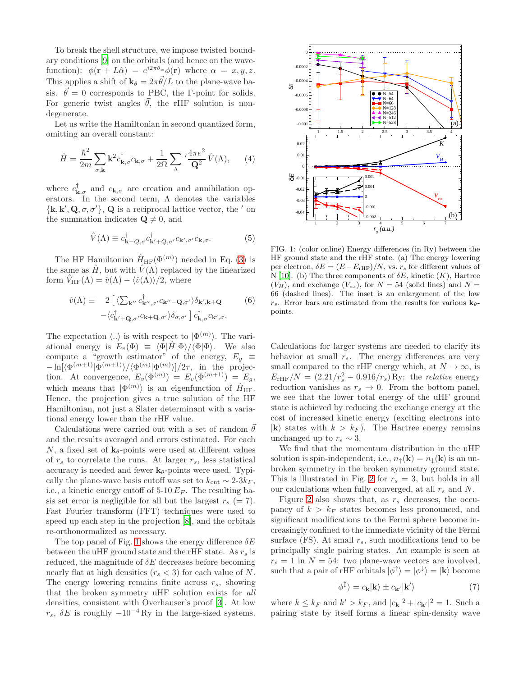To break the shell structure, we impose twisted boundary conditions [\[9\]](#page-3-8) on the orbitals (and hence on the wavefunction):  $\phi(\mathbf{r} + L\hat{\alpha}) = e^{i2\pi\theta_{\alpha}}\phi(\mathbf{r})$  where  $\alpha = x, y, z$ . This applies a shift of  $\mathbf{k}_{\theta} = 2\pi \vec{\theta}/L$  to the plane-wave basis.  $\vec{\theta} = 0$  corresponds to PBC, the Γ-point for solids. For generic twist angles  $\vec{\theta}$ , the rHF solution is nondegenerate.

Let us write the Hamiltonian in second quantized form, omitting an overall constant:

$$
\hat{H} = \frac{\hbar^2}{2m} \sum_{\sigma, \mathbf{k}} \mathbf{k}^2 c_{\mathbf{k}, \sigma}^{\dagger} c_{\mathbf{k}, \sigma} + \frac{1}{2\Omega} \sum_{\Lambda} \frac{4\pi e^2}{\mathbf{Q}^2} \hat{V}(\Lambda), \qquad (4)
$$

where  $c^{\dagger}_{\mathbf{k},\sigma}$  and  $c_{\mathbf{k},\sigma}$  are creation and annihilation operators. In the second term,  $\Lambda$  denotes the variables  ${k, k', Q, \sigma, \sigma'}$ , Q is a reciprocal lattice vector, the ' on the summation indicates  $\mathbf{Q} \neq 0$ , and

$$
\hat{V}(\Lambda) \equiv c_{\mathbf{k}-Q,\sigma}^{\dagger} c_{\mathbf{k}'+Q,\sigma'}^{\dagger} c_{\mathbf{k}',\sigma'} c_{\mathbf{k},\sigma}.
$$
\n(5)

The HF Hamiltonian  $\hat{H}_{HF}(\Phi^{(m)})$  needed in Eq. [\(3\)](#page-0-1) is the same as  $\hat{H}$ , but with  $\hat{V}(\Lambda)$  replaced by the linearized form  $V_{HF}(\Lambda) = \hat{v}(\Lambda) - \langle \hat{v}(\Lambda) \rangle/2$ , where

$$
\hat{v}(\Lambda) \equiv 2 \left[ \langle \sum_{\mathbf{k}''} c^{\dagger}_{\mathbf{k}''', \sigma'} c_{\mathbf{k}'' - \mathbf{Q}, \sigma'} \rangle \delta_{\mathbf{k}', \mathbf{k} + \mathbf{Q}} \right] \n- \langle c^{\dagger}_{\mathbf{k}' + \mathbf{Q}, \sigma'} c_{\mathbf{k} + \mathbf{Q}, \sigma'} \rangle \delta_{\sigma, \sigma'} \left[ c^{\dagger}_{\mathbf{k}, \sigma} c_{\mathbf{k}', \sigma} \right] \n\tag{6}
$$

The expectation  $\langle .. \rangle$  is with respect to  $|\Phi^{(m)}\rangle$ . The variational energy is  $E_v(\Phi) \equiv \langle \Phi | \hat{H} | \Phi \rangle / \langle \Phi | \Phi \rangle$ . We also compute a "growth estimator" of the energy,  $E_q \equiv$  $-\ln[\langle \Phi^{(m+1)} | \Phi^{(m+1)} \rangle / \langle \Phi^{(m)} | \Phi^{(m)} \rangle ]/2\tau$ , in the projection. At convergence,  $E_v(\Phi^{(m)}) = E_v(\Phi^{(m+1)}) = E_g$ , which means that  $|\Phi^{(m)}\rangle$  is an eigenfunction of  $\hat{H}_{HF}$ . Hence, the projection gives a true solution of the HF Hamiltonian, not just a Slater determinant with a variational energy lower than the rHF value.

Calculations were carried out with a set of random  $\theta$ and the results averaged and errors estimated. For each N, a fixed set of  $\mathbf{k}_{\theta}$ -points were used at different values of  $r_s$  to correlate the runs. At larger  $r_s$ , less statistical accuracy is needed and fewer  $\mathbf{k}_{\theta}$ -points were used. Typically the plane-wave basis cutoff was set to  $k_{\text{cut}} \sim 2\text{-}3k_F$ , i.e., a kinetic energy cutoff of  $5\text{-}10 E_F$ . The resulting basis set error is negligible for all but the largest  $r_s (= 7)$ . Fast Fourier transform (FFT) techniques were used to speed up each step in the projection [\[8\]](#page-3-7), and the orbitals re-orthonormalized as necessary.

The top panel of Fig. [1](#page-1-0) shows the energy difference  $\delta E$ between the uHF ground state and the rHF state. As  $r_s$  is reduced, the magnitude of  $\delta E$  decreases before becoming nearly flat at high densities  $(r_s < 3)$  for each value of N. The energy lowering remains finite across  $r_s$ , showing that the broken symmetry uHF solution exists for all densities, consistent with Overhauser's proof [\[3\]](#page-3-2). At low  $r_s$ ,  $\delta E$  is roughly  $-10^{-4}$  Ry in the large-sized systems.



<span id="page-1-0"></span>FIG. 1: (color online) Energy differences (in Ry) between the HF ground state and the rHF state. (a) The energy lowering per electron,  $\delta E = (E - E_{\text{rHF}})/N$ , vs.  $r_s$  for different values of N [\[10](#page-3-9)]. (b) The three components of  $\delta E$ , kinetic  $(K)$ , Hartree  $(V_H)$ , and exchange  $(V_{ex})$ , for  $N = 54$  (solid lines) and  $N =$ 66 (dashed lines). The inset is an enlargement of the low  $r_s$ . Error bars are estimated from the results for various  $\mathbf{k}_{\theta}$ points.

Calculations for larger systems are needed to clarify its behavior at small  $r_s$ . The energy differences are very small compared to the rHF energy which, at  $N \to \infty$ , is  $E_{\text{rHF}}/N = (2.21/r_s^2 - 0.916/r_s)$  Ry: the *relative* energy reduction vanishes as  $r_s \to 0$ . From the bottom panel, we see that the lower total energy of the uHF ground state is achieved by reducing the exchange energy at the cost of increased kinetic energy (exciting electrons into  $|{\bf k}\rangle$  states with  $k > k_F$ . The Hartree energy remains unchanged up to  $r_s \sim 3$ .

We find that the momentum distribution in the uHF solution is spin-independent, i.e.,  $n_{\uparrow}(\mathbf{k}) = n_{\downarrow}(\mathbf{k})$  is an unbroken symmetry in the broken symmetry ground state. This is illustrated in Fig. [2](#page-2-0) for  $r_s = 3$ , but holds in all our calculations when fully converged, at all  $r_s$  and N.

Figure [2](#page-2-0) also shows that, as  $r_s$  decreases, the occupancy of  $k > k_F$  states becomes less pronounced, and significant modifications to the Fermi sphere become increasingly confined to the immediate vicinity of the Fermi surface (FS). At small  $r_s$ , such modifications tend to be principally single pairing states. An example is seen at  $r_s = 1$  in  $N = 54$ : two plane-wave vectors are involved, such that a pair of rHF orbitals  $|\phi^{\uparrow}\rangle = |\phi^{\downarrow}\rangle = |{\bf k}\rangle$  become

<span id="page-1-1"></span>
$$
|\phi^{\updownarrow}\rangle = c_{\mathbf{k}}|\mathbf{k}\rangle \pm c_{\mathbf{k}'}|\mathbf{k}'\rangle \tag{7}
$$

where  $k \leq k_F$  and  $k' > k_F$ , and  $|c_{\mathbf{k}}|^2 + |c_{\mathbf{k'}}|^2 = 1$ . Such a pairing state by itself forms a linear spin-density wave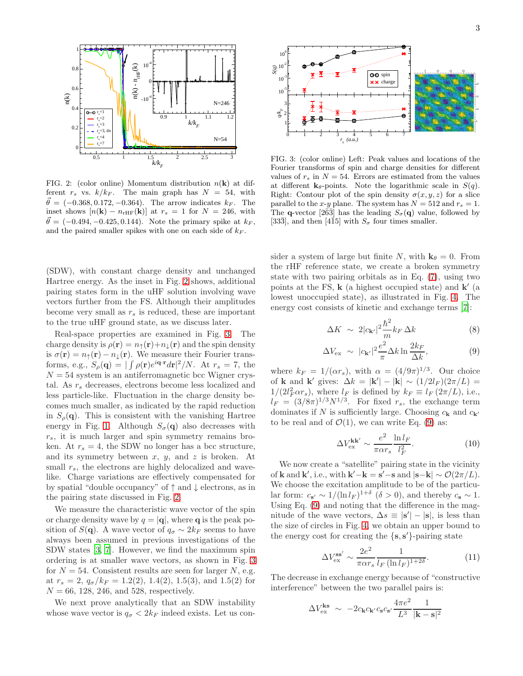

<span id="page-2-0"></span>FIG. 2: (color online) Momentum distribution  $n(\mathbf{k})$  at different  $r_s$  vs.  $k/k_F$ . The main graph has  $N = 54$ , with  $\vec{\theta} = (-0.368, 0.172, -0.364)$ . The arrow indicates  $k_F$ . The inset shows  $[n(\mathbf{k}) - n_{\text{rHF}}(\mathbf{k})]$  at  $r_s = 1$  for  $N = 246$ , with  $\vec{\theta} = (-0.494, -0.425, 0.144)$ . Note the primary spike at  $k_F$ , and the paired smaller spikes with one on each side of  $k_F.$ 

(SDW), with constant charge density and unchanged Hartree energy. As the inset in Fig. [2](#page-2-0) shows, additional pairing states form in the uHF solution involving wave vectors further from the FS. Although their amplitudes become very small as  $r<sub>s</sub>$  is reduced, these are important to the true uHF ground state, as we discuss later.

Real-space properties are examined in Fig. [3.](#page-2-1) The charge density is  $\rho(\mathbf{r}) = n_{\uparrow}(\mathbf{r}) + n_{\perp}(\mathbf{r})$  and the spin density is  $\sigma(\mathbf{r}) = n_{\uparrow}(\mathbf{r}) - n_{\downarrow}(\mathbf{r})$ . We measure their Fourier transforms, e.g.,  $S_\rho(\mathbf{q}) = |\int \rho(\mathbf{r})e^{i\mathbf{q}\cdot\mathbf{r}}d\mathbf{r}|^2/N$ . At  $r_s = 7$ , the  $N = 54$  system is an antiferromagnetic bcc Wigner crystal. As  $r_s$  decreases, electrons become less localized and less particle-like. Fluctuation in the charge density becomes much smaller, as indicated by the rapid reduction in  $S_{\rho}(\mathbf{q})$ . This is consistent with the vanishing Hartree energy in Fig. [1.](#page-1-0) Although  $S_{\sigma}(\mathbf{q})$  also decreases with  $r_s$ , it is much larger and spin symmetry remains broken. At  $r_s = 4$ , the SDW no longer has a bcc structure, and its symmetry between  $x, y$ , and  $z$  is broken. At small  $r_s$ , the electrons are highly delocalized and wavelike. Charge variations are effectively compensated for by spatial "double occupancy" of ↑ and ↓ electrons, as in the pairing state discussed in Fig. [2.](#page-2-0)

We measure the characteristic wave vector of the spin or charge density wave by  $q = |\mathbf{q}|$ , where **q** is the peak position of  $S(\mathbf{q})$ . A wave vector of  $q_{\sigma} \sim 2k_F$  seems to have always been assumed in previous investigations of the SDW states [\[3,](#page-3-2) [7](#page-3-6)]. However, we find the maximum spin ordering is at smaller wave vectors, as shown in Fig. [3](#page-2-1) for  $N = 54$ . Consistent results are seen for larger N, e.g. at  $r_s = 2$ ,  $q_{\sigma}/k_F = 1.2(2)$ , 1.4(2), 1.5(3), and 1.5(2) for  $N = 66, 128, 246, \text{ and } 528, \text{ respectively.}$ 

We next prove analytically that an SDW instability whose wave vector is  $q_{\sigma} < 2k_F$  indeed exists. Let us con-



<span id="page-2-1"></span>FIG. 3: (color online) Left: Peak values and locations of the Fourier transforms of spin and charge densities for different values of  $r_s$  in  $N = 54$ . Errors are estimated from the values at different  $\mathbf{k}_{\theta}$ -points. Note the logarithmic scale in  $S(q)$ . Right: Contour plot of the spin density  $\sigma(x, y, z)$  for a slice parallel to the x-y plane. The system has  $N = 512$  and  $r_s = 1$ . The **q**-vector [2 $\bar{63}$ ] has the leading  $S_{\sigma}(\mathbf{q})$  value, followed by [33 $\bar{3}$ ], and then [4 $\bar{1}5$ ] with  $S_{\sigma}$  four times smaller.

sider a system of large but finite N, with  $\mathbf{k}_{\theta} = 0$ . From the rHF reference state, we create a broken symmetry state with two pairing orbitals as in Eq. [\(7\)](#page-1-1), using two points at the FS,  $\bf{k}$  (a highest occupied state) and  $\bf{k}'$  (a lowest unoccupied state), as illustrated in Fig. [4.](#page-3-10) The energy cost consists of kinetic and exchange terms [\[7](#page-3-6)]:

<span id="page-2-2"></span>
$$
\Delta K \sim 2|c_{\mathbf{k}'}|^2 \frac{\hbar^2}{m} k_F \Delta k \tag{8}
$$

$$
\Delta V_{\text{ex}} \sim |c_{\mathbf{k'}}|^2 \frac{e^2}{\pi} \Delta k \ln \frac{2k_F}{\Delta k}, \tag{9}
$$

where  $k_F = 1/(\alpha r_s)$ , with  $\alpha = (4/9\pi)^{1/3}$ . Our choice of **k** and **k'** gives:  $\Delta k = |\mathbf{k}'| - |\mathbf{k}| \sim (1/2l_F)(2\pi/L) =$  $1/(2l_F^2 \alpha r_s)$ , where  $l_F$  is defined by  $k_F \equiv l_F (2\pi/L)$ , i.e.,  $l_F = (3/8\pi)^{1/3} N^{1/3}$ . For fixed  $r_s$ , the exchange term dominates if N is sufficiently large. Choosing  $c_{\mathbf{k}}$  and  $c_{\mathbf{k'}}$ to be real and of  $\mathcal{O}(1)$ , we can write Eq. [\(9\)](#page-2-2) as:

<span id="page-2-3"></span>
$$
\Delta V_{\text{ex}}^{\text{kk}'} \sim \frac{e^2}{\pi \alpha r_s} \frac{\ln l_F}{l_F^2}.
$$
 (10)

We now create a "satellite" pairing state in the vicinity of **k** and **k'**, i.e., with **k'**-**k** = **s'**-**s** and  $|\mathbf{s}-\mathbf{k}| \sim \mathcal{O}(2\pi/L)$ . We choose the excitation amplitude to be of the particular form:  $c_{s'} \sim 1/(\ln l_F)^{1+\delta}$  ( $\delta > 0$ ), and thereby  $c_s \sim 1$ . Using Eq. [\(9\)](#page-2-2) and noting that the difference in the magnitude of the wave vectors,  $\Delta s \equiv |\mathbf{s}'| - |\mathbf{s}|$ , is less than the size of circles in Fig. [4,](#page-3-10) we obtain an upper bound to the energy cost for creating the  $\{s, s'\}$ -pairing state

<span id="page-2-4"></span>
$$
\Delta V_{\text{ex}}^{\text{ss}'} \sim \frac{2e^2}{\pi \alpha r_s} \frac{1}{l_F (\ln l_F)^{1+2\delta}}.
$$
\n(11)

The decrease in exchange energy because of "constructive interference" between the two parallel pairs is:

$$
\Delta V_{\text{ex}}^{\text{ks}} \sim -2c_{\mathbf{k}}c_{\mathbf{k}'}c_{\mathbf{s}}c_{\mathbf{s}'}\frac{4\pi e^2}{L^3}\frac{1}{|\mathbf{k}-\mathbf{s}|^2}
$$